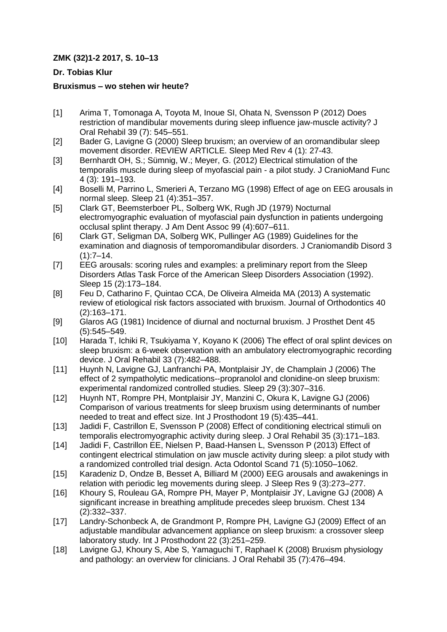## **ZMK (32)1-2 2017, S. 10–13**

## **Dr. Tobias Klur**

## **Bruxismus – wo stehen wir heute?**

- [1] Arima T, Tomonaga A, Toyota M, Inoue SI, Ohata N, Svensson P (2012) Does restriction of mandibular movements during sleep influence jaw-muscle activity? J Oral Rehabil 39 (7): 545–551.
- [2] Bader G, Lavigne G (2000) Sleep bruxism; an overview of an oromandibular sleep movement disorder. REVIEW ARTICLE. Sleep Med Rev 4 (1): 27-43.
- [3] Bernhardt OH, S.; Sümnig, W.; Meyer, G. (2012) Electrical stimulation of the temporalis muscle during sleep of myofascial pain - a pilot study. J CranioMand Func 4 (3): 191–193.
- [4] Boselli M, Parrino L, Smerieri A, Terzano MG (1998) Effect of age on EEG arousals in normal sleep. Sleep 21 (4):351–357.
- [5] Clark GT, Beemsterboer PL, Solberg WK, Rugh JD (1979) Nocturnal electromyographic evaluation of myofascial pain dysfunction in patients undergoing occlusal splint therapy. J Am Dent Assoc 99 (4):607–611.
- [6] Clark GT, Seligman DA, Solberg WK, Pullinger AG (1989) Guidelines for the examination and diagnosis of temporomandibular disorders. J Craniomandib Disord 3  $(1):7-14.$
- [7] EEG arousals: scoring rules and examples: a preliminary report from the Sleep Disorders Atlas Task Force of the American Sleep Disorders Association (1992). Sleep 15 (2):173–184.
- [8] Feu D, Catharino F, Quintao CCA, De Oliveira Almeida MA (2013) A systematic review of etiological risk factors associated with bruxism. Journal of Orthodontics 40 (2):163–171.
- [9] Glaros AG (1981) Incidence of diurnal and nocturnal bruxism. J Prosthet Dent 45 (5):545–549.
- [10] Harada T, Ichiki R, Tsukiyama Y, Koyano K (2006) The effect of oral splint devices on sleep bruxism: a 6-week observation with an ambulatory electromyographic recording device. J Oral Rehabil 33 (7):482–488.
- [11] Huynh N, Lavigne GJ, Lanfranchi PA, Montplaisir JY, de Champlain J (2006) The effect of 2 sympatholytic medications--propranolol and clonidine-on sleep bruxism: experimental randomized controlled studies. Sleep 29 (3):307–316.
- [12] Huynh NT, Rompre PH, Montplaisir JY, Manzini C, Okura K, Lavigne GJ (2006) Comparison of various treatments for sleep bruxism using determinants of number needed to treat and effect size. Int J Prosthodont 19 (5):435–441.
- [13] Jadidi F, Castrillon E, Svensson P (2008) Effect of conditioning electrical stimuli on temporalis electromyographic activity during sleep. J Oral Rehabil 35 (3):171–183.
- [14] Jadidi F, Castrillon EE, Nielsen P, Baad-Hansen L, Svensson P (2013) Effect of contingent electrical stimulation on jaw muscle activity during sleep: a pilot study with a randomized controlled trial design. Acta Odontol Scand 71 (5):1050–1062.
- [15] Karadeniz D, Ondze B, Besset A, Billiard M (2000) EEG arousals and awakenings in relation with periodic leg movements during sleep. J Sleep Res 9 (3):273–277.
- [16] Khoury S, Rouleau GA, Rompre PH, Mayer P, Montplaisir JY, Lavigne GJ (2008) A significant increase in breathing amplitude precedes sleep bruxism. Chest 134 (2):332–337.
- [17] Landry-Schonbeck A, de Grandmont P, Rompre PH, Lavigne GJ (2009) Effect of an adjustable mandibular advancement appliance on sleep bruxism: a crossover sleep laboratory study. Int J Prosthodont 22 (3):251–259.
- [18] Lavigne GJ, Khoury S, Abe S, Yamaguchi T, Raphael K (2008) Bruxism physiology and pathology: an overview for clinicians. J Oral Rehabil 35 (7):476–494.